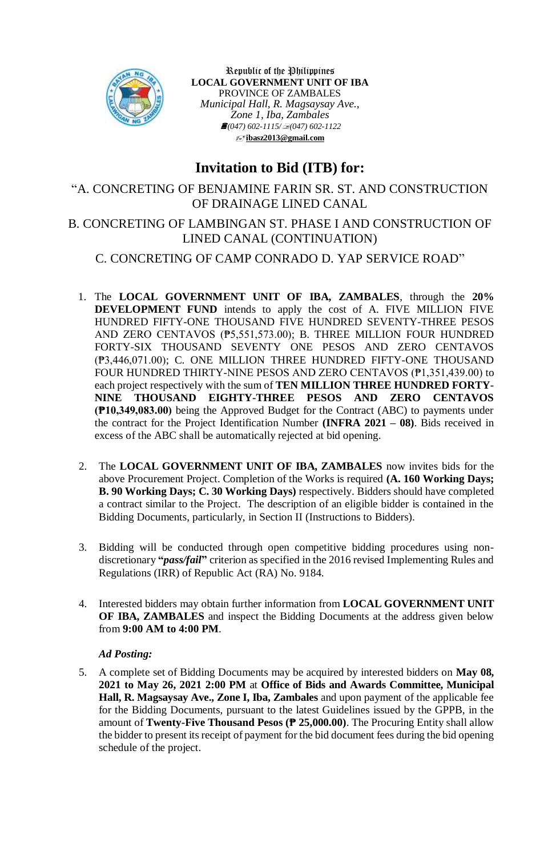

Republic of the Philippines **LOCAL GOVERNMENT UNIT OF IBA** PROVINCE OF ZAMBALES *Municipal Hall, R. Magsaysay Ave., Zone 1, Iba, Zambales (047) 602-1115/(047) 602-1122* **[ibasz2013@gmail.com](mailto:ibasz2013@gmail.com)**

# **Invitation to Bid (ITB) for:**

"A. CONCRETING OF BENJAMINE FARIN SR. ST. AND CONSTRUCTION OF DRAINAGE LINED CANAL

## B. CONCRETING OF LAMBINGAN ST. PHASE I AND CONSTRUCTION OF LINED CANAL (CONTINUATION)

### C. CONCRETING OF CAMP CONRADO D. YAP SERVICE ROAD"

- 1. The **LOCAL GOVERNMENT UNIT OF IBA, ZAMBALES**, through the **20% DEVELOPMENT FUND** intends to apply the cost of A. FIVE MILLION FIVE HUNDRED FIFTY-ONE THOUSAND FIVE HUNDRED SEVENTY-THREE PESOS AND ZERO CENTAVOS (₱5,551,573.00); B. THREE MILLION FOUR HUNDRED FORTY-SIX THOUSAND SEVENTY ONE PESOS AND ZERO CENTAVOS (₱3,446,071.00); C. ONE MILLION THREE HUNDRED FIFTY-ONE THOUSAND FOUR HUNDRED THIRTY-NINE PESOS AND ZERO CENTAVOS (₱1,351,439.00) to each project respectively with the sum of **TEN MILLION THREE HUNDRED FORTY-NINE THOUSAND EIGHTY-THREE PESOS AND ZERO CENTAVOS (₱10,349,083.00)** being the Approved Budget for the Contract (ABC) to payments under the contract for the Project Identification Number **(INFRA 2021 – 08)**. Bids received in excess of the ABC shall be automatically rejected at bid opening.
- 2. The **LOCAL GOVERNMENT UNIT OF IBA, ZAMBALES** now invites bids for the above Procurement Project. Completion of the Works is required **(A. 160 Working Days; B. 90 Working Days; C. 30 Working Days)** respectively. Bidders should have completed a contract similar to the Project. The description of an eligible bidder is contained in the Bidding Documents, particularly, in Section II (Instructions to Bidders).
- 3. Bidding will be conducted through open competitive bidding procedures using nondiscretionary **"***pass/fail***"** criterion as specified in the 2016 revised Implementing Rules and Regulations (IRR) of Republic Act (RA) No. 9184.
- 4. Interested bidders may obtain further information from **LOCAL GOVERNMENT UNIT OF IBA, ZAMBALES** and inspect the Bidding Documents at the address given below from **9:00 AM to 4:00 PM**.

#### *Ad Posting:*

5. A complete set of Bidding Documents may be acquired by interested bidders on **May 08, 2021 to May 26, 2021 2:00 PM** at **Office of Bids and Awards Committee, Municipal Hall, R. Magsaysay Ave., Zone I, Iba, Zambales** and upon payment of the applicable fee for the Bidding Documents, pursuant to the latest Guidelines issued by the GPPB, in the amount of **Twenty-Five Thousand Pesos (₱ 25,000.00)**. The Procuring Entity shall allow the bidder to present its receipt of payment for the bid document fees during the bid opening schedule of the project.